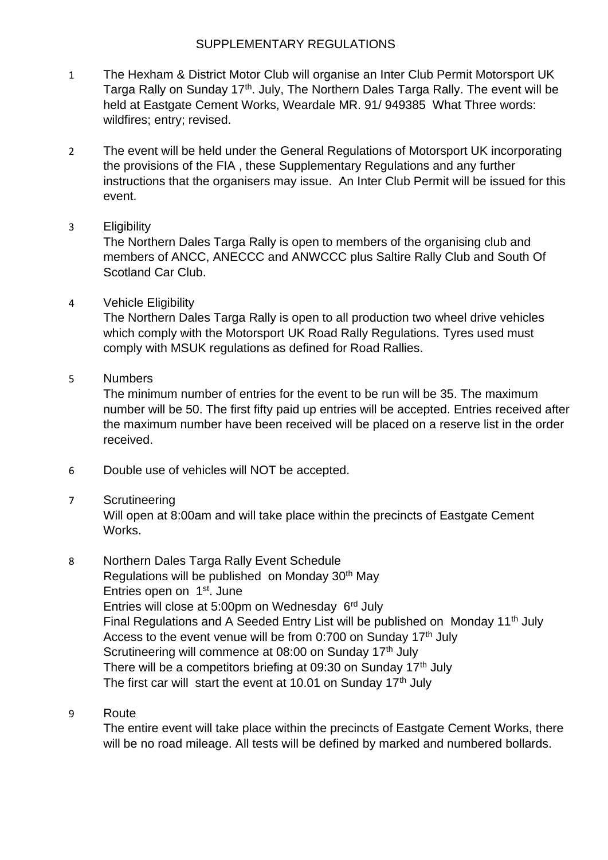## SUPPLEMENTARY REGULATIONS

- 1 The Hexham & District Motor Club will organise an Inter Club Permit Motorsport UK Targa Rally on Sunday 17<sup>th</sup>. July, The Northern Dales Targa Rally. The event will be held at Eastgate Cement Works, Weardale MR. 91/ 949385 What Three words: wildfires; entry; revised.
- 2 The event will be held under the General Regulations of Motorsport UK incorporating the provisions of the FIA , these Supplementary Regulations and any further instructions that the organisers may issue. An Inter Club Permit will be issued for this event.
- 3 Eligibility

The Northern Dales Targa Rally is open to members of the organising club and members of ANCC, ANECCC and ANWCCC plus Saltire Rally Club and South Of Scotland Car Club.

4 Vehicle Eligibility

The Northern Dales Targa Rally is open to all production two wheel drive vehicles which comply with the Motorsport UK Road Rally Regulations. Tyres used must comply with MSUK regulations as defined for Road Rallies.

5 Numbers

The minimum number of entries for the event to be run will be 35. The maximum number will be 50. The first fifty paid up entries will be accepted. Entries received after the maximum number have been received will be placed on a reserve list in the order received.

- 6 Double use of vehicles will NOT be accepted.
- 7 Scrutineering

Will open at 8:00am and will take place within the precincts of Eastgate Cement Works.

- 8 Northern Dales Targa Rally Event Schedule Regulations will be published on Monday 30<sup>th</sup> May Entries open on 1<sup>st</sup>. June Entries will close at 5:00pm on Wednesday 6<sup>rd</sup> July Final Regulations and A Seeded Entry List will be published on Monday 11<sup>th</sup> July Access to the event venue will be from 0:700 on Sunday  $17<sup>th</sup>$  July Scrutineering will commence at 08:00 on Sunday 17<sup>th</sup> July There will be a competitors briefing at 09:30 on Sunday 17<sup>th</sup> July The first car will start the event at 10.01 on Sunday  $17<sup>th</sup>$  July
- 9 Route

The entire event will take place within the precincts of Eastgate Cement Works, there will be no road mileage. All tests will be defined by marked and numbered bollards.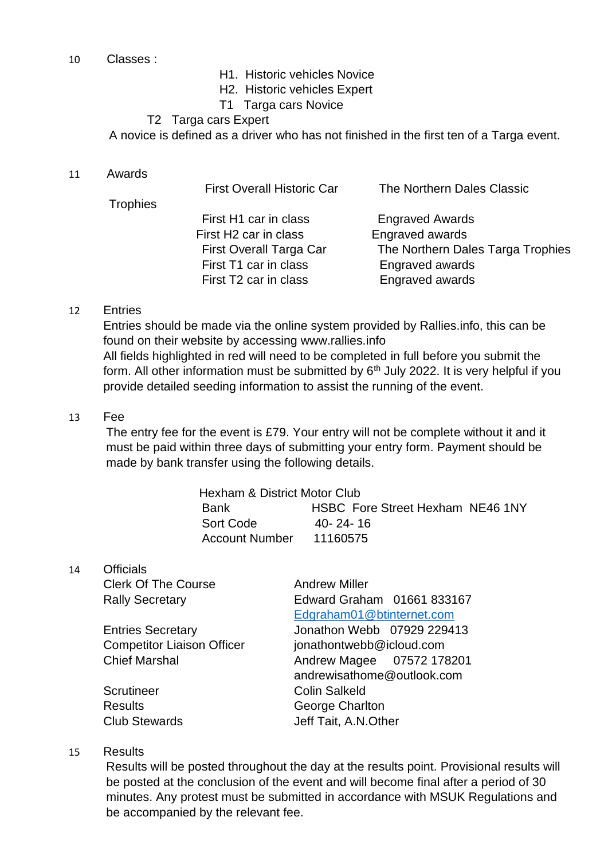- 10 Classes :
- H1. Historic vehicles Novice
- H2. Historic vehicles Expert
- T1 Targa cars Novice

#### T2 Targa cars Expert

A novice is defined as a driver who has not finished in the first ten of a Targa event.

11 Awards

|                 | <b>First Overall Historic Car</b> | The Northern Dales Classic        |
|-----------------|-----------------------------------|-----------------------------------|
| <b>Trophies</b> |                                   |                                   |
|                 | First H1 car in class             | <b>Engraved Awards</b>            |
|                 | First H <sub>2</sub> car in class | Engraved awards                   |
|                 | First Overall Targa Car           | The Northern Dales Targa Trophies |
|                 | First T1 car in class             | <b>Engraved awards</b>            |
|                 | First T2 car in class             | Engraved awards                   |
|                 |                                   |                                   |

#### 12 Entries

Entries should be made via the online system provided by Rallies.info, this can be found on their website by accessing www.rallies.info All fields highlighted in red will need to be completed in full before you submit the form. All other information must be submitted by  $6<sup>th</sup>$  July 2022. It is very helpful if you provide detailed seeding information to assist the running of the event.

#### 13 Fee

The entry fee for the event is £79. Your entry will not be complete without it and it must be paid within three days of submitting your entry form. Payment should be made by bank transfer using the following details.

| Hexham & District Motor Club |                                  |  |  |  |
|------------------------------|----------------------------------|--|--|--|
| <b>Bank</b>                  | HSBC Fore Street Hexham NE46 1NY |  |  |  |
| Sort Code                    | $40 - 24 - 16$                   |  |  |  |
| Account Number               | 11160575                         |  |  |  |

14 Officials

| <b>Clerk Of The Course</b>        | <b>Andrew Miller</b>       |
|-----------------------------------|----------------------------|
| <b>Rally Secretary</b>            | Edward Graham 01661 833167 |
|                                   | Edgraham01@btinternet.com  |
| <b>Entries Secretary</b>          | Jonathon Webb 07929 229413 |
| <b>Competitor Liaison Officer</b> | jonathontwebb@icloud.com   |
| <b>Chief Marshal</b>              | Andrew Magee 07572 178201  |
|                                   | andrewisathome@outlook.com |
| Scrutineer                        | <b>Colin Salkeld</b>       |
| <b>Results</b>                    | George Charlton            |
| <b>Club Stewards</b>              | Jeff Tait, A.N.Other       |
|                                   |                            |

#### 15 Results

Results will be posted throughout the day at the results point. Provisional results will be posted at the conclusion of the event and will become final after a period of 30 minutes. Any protest must be submitted in accordance with MSUK Regulations and be accompanied by the relevant fee.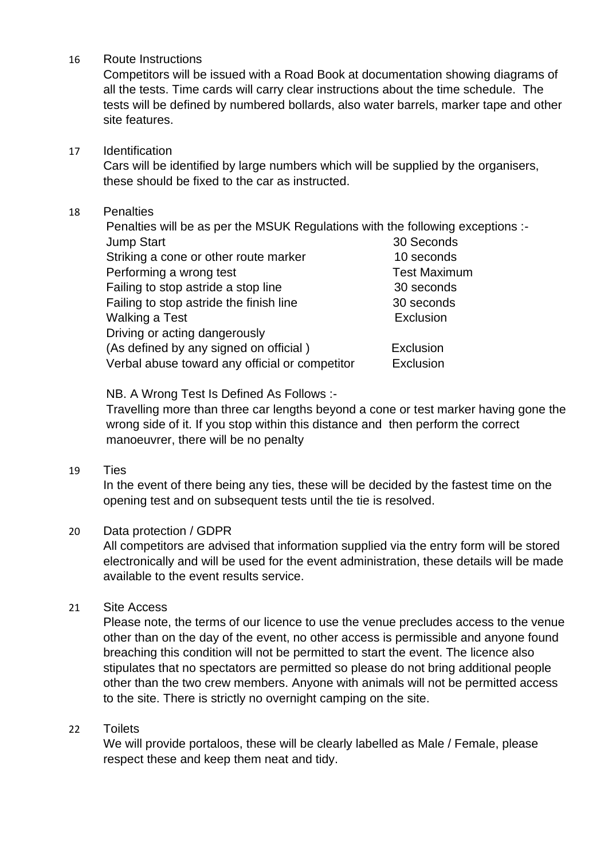16 Route Instructions

Competitors will be issued with a Road Book at documentation showing diagrams of all the tests. Time cards will carry clear instructions about the time schedule. The tests will be defined by numbered bollards, also water barrels, marker tape and other site features.

17 Identification

Cars will be identified by large numbers which will be supplied by the organisers, these should be fixed to the car as instructed.

## 18 Penalties

Penalties will be as per the MSUK Regulations with the following exceptions :- Jump Start 30 Seconds Striking a cone or other route marker 10 seconds Performing a wrong test Test Maximum Failing to stop astride a stop line 30 seconds Failing to stop astride the finish line 30 seconds Walking a Test **Exclusion** Driving or acting dangerously (As defined by any signed on official ) Exclusion Verbal abuse toward any official or competitor Exclusion

NB. A Wrong Test Is Defined As Follows :-

Travelling more than three car lengths beyond a cone or test marker having gone the wrong side of it. If you stop within this distance and then perform the correct manoeuvrer, there will be no penalty

#### 19 Ties

In the event of there being any ties, these will be decided by the fastest time on the opening test and on subsequent tests until the tie is resolved.

## 20 Data protection / GDPR

All competitors are advised that information supplied via the entry form will be stored electronically and will be used for the event administration, these details will be made available to the event results service.

## 21 Site Access

Please note, the terms of our licence to use the venue precludes access to the venue other than on the day of the event, no other access is permissible and anyone found breaching this condition will not be permitted to start the event. The licence also stipulates that no spectators are permitted so please do not bring additional people other than the two crew members. Anyone with animals will not be permitted access to the site. There is strictly no overnight camping on the site.

## 22 Toilets

We will provide portaloos, these will be clearly labelled as Male / Female, please respect these and keep them neat and tidy.